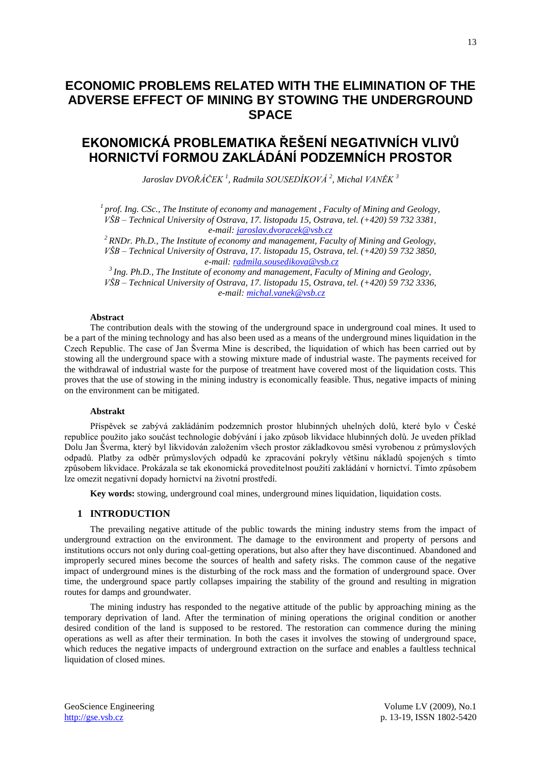## **ECONOMIC PROBLEMS RELATED WITH THE ELIMINATION OF THE ADVERSE EFFECT OF MINING BY STOWING THE UNDERGROUND SPACE**

# **EKONOMICKÁ PROBLEMATIKA ŘEŠENÍ NEGATIVNÍCH VLIVŮ HORNICTVÍ FORMOU ZAKLÁDÁNÍ PODZEMNÍCH PROSTOR**

*Jaroslav DVOŘÁČEK <sup>1</sup> , Radmila SOUSEDÍKOVÁ 2 , Michal VANĚK <sup>3</sup>*

<sup>1</sup> prof. Ing. CSc., The Institute of economy and management , Faculty of Mining and Geology, *VŠB – Technical University of Ostrava, 17. listopadu 15, Ostrava, tel. (+420) 59 732 3381, e-mail: [jaroslav.dvoracek@vsb.cz](mailto:jaroslav.dvoracek@vsb.cz)*

*<sup>2</sup> RNDr. Ph.D., The Institute of economy and management, Faculty of Mining and Geology, VŠB – Technical University of Ostrava, 17. listopadu 15, Ostrava, tel. (+420) 59 732 3850, e-mail: [radmila.sousedikova@vsb.cz](mailto:radmila.sousedikova@vsb.cz)*

*3 Ing. Ph.D., The Institute of economy and management, Faculty of Mining and Geology, VŠB – Technical University of Ostrava, 17. listopadu 15, Ostrava, tel. (+420) 59 732 3336, e-mail: [michal.vanek@vsb.cz](mailto:michal.vanek@vsb.cz)*

#### **Abstract**

The contribution deals with the stowing of the underground space in underground coal mines. It used to be a part of the mining technology and has also been used as a means of the underground mines liquidation in the Czech Republic. The case of Jan Šverma Mine is described, the liquidation of which has been carried out by stowing all the underground space with a stowing mixture made of industrial waste. The payments received for the withdrawal of industrial waste for the purpose of treatment have covered most of the liquidation costs. This proves that the use of stowing in the mining industry is economically feasible. Thus, negative impacts of mining on the environment can be mitigated.

### **Abstrakt**

Příspěvek se zabývá zakládáním podzemních prostor hlubinných uhelných dolů, které bylo v České republice použito jako součást technologie dobývání i jako způsob likvidace hlubinných dolů. Je uveden příklad Dolu Jan Šverma, který byl likvidován založením všech prostor základkovou směsí vyrobenou z průmyslových odpadů. Platby za odběr průmyslových odpadů ke zpracování pokryly většinu nákladů spojených s tímto způsobem likvidace. Prokázala se tak ekonomická proveditelnost použití zakládání v hornictví. Tímto způsobem lze omezit negativní dopady hornictví na životní prostředí.

**Key words:** stowing, underground coal mines, underground mines liquidation, liquidation costs.

## **1 INTRODUCTION**

The prevailing negative attitude of the public towards the mining industry stems from the impact of underground extraction on the environment. The damage to the environment and property of persons and institutions occurs not only during coal-getting operations, but also after they have discontinued. Abandoned and improperly secured mines become the sources of health and safety risks. The common cause of the negative impact of underground mines is the disturbing of the rock mass and the formation of underground space. Over time, the underground space partly collapses impairing the stability of the ground and resulting in migration routes for damps and groundwater.

The mining industry has responded to the negative attitude of the public by approaching mining as the temporary deprivation of land. After the termination of mining operations the original condition or another desired condition of the land is supposed to be restored. The restoration can commence during the mining operations as well as after their termination. In both the cases it involves the stowing of underground space, which reduces the negative impacts of underground extraction on the surface and enables a faultless technical liquidation of closed mines.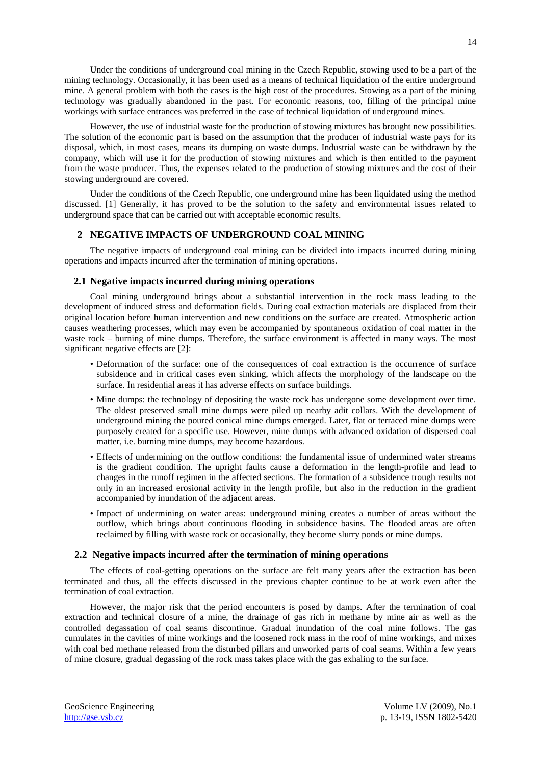However, the use of industrial waste for the production of stowing mixtures has brought new possibilities. The solution of the economic part is based on the assumption that the producer of industrial waste pays for its disposal, which, in most cases, means its dumping on waste dumps. Industrial waste can be withdrawn by the company, which will use it for the production of stowing mixtures and which is then entitled to the payment from the waste producer. Thus, the expenses related to the production of stowing mixtures and the cost of their stowing underground are covered.

Under the conditions of the Czech Republic, one underground mine has been liquidated using the method discussed. [1] Generally, it has proved to be the solution to the safety and environmental issues related to underground space that can be carried out with acceptable economic results.

## **2 NEGATIVE IMPACTS OF UNDERGROUND COAL MINING**

The negative impacts of underground coal mining can be divided into impacts incurred during mining operations and impacts incurred after the termination of mining operations.

## **2.1 Negative impacts incurred during mining operations**

Coal mining underground brings about a substantial intervention in the rock mass leading to the development of induced stress and deformation fields. During coal extraction materials are displaced from their original location before human intervention and new conditions on the surface are created. Atmospheric action causes weathering processes, which may even be accompanied by spontaneous oxidation of coal matter in the waste rock – burning of mine dumps. Therefore, the surface environment is affected in many ways. The most significant negative effects are [2]:

- Deformation of the surface: one of the consequences of coal extraction is the occurrence of surface subsidence and in critical cases even sinking, which affects the morphology of the landscape on the surface. In residential areas it has adverse effects on surface buildings.
- Mine dumps: the technology of depositing the waste rock has undergone some development over time. The oldest preserved small mine dumps were piled up nearby adit collars. With the development of underground mining the poured conical mine dumps emerged. Later, flat or terraced mine dumps were purposely created for a specific use. However, mine dumps with advanced oxidation of dispersed coal matter, i.e. burning mine dumps, may become hazardous.
- Effects of undermining on the outflow conditions: the fundamental issue of undermined water streams is the gradient condition. The upright faults cause a deformation in the length-profile and lead to changes in the runoff regimen in the affected sections. The formation of a subsidence trough results not only in an increased erosional activity in the length profile, but also in the reduction in the gradient accompanied by inundation of the adjacent areas.
- Impact of undermining on water areas: underground mining creates a number of areas without the outflow, which brings about continuous flooding in subsidence basins. The flooded areas are often reclaimed by filling with waste rock or occasionally, they become slurry ponds or mine dumps.

## **2.2 Negative impacts incurred after the termination of mining operations**

The effects of coal-getting operations on the surface are felt many years after the extraction has been terminated and thus, all the effects discussed in the previous chapter continue to be at work even after the termination of coal extraction.

However, the major risk that the period encounters is posed by damps. After the termination of coal extraction and technical closure of a mine, the drainage of gas rich in methane by mine air as well as the controlled degassation of coal seams discontinue. Gradual inundation of the coal mine follows. The gas cumulates in the cavities of mine workings and the loosened rock mass in the roof of mine workings, and mixes with coal bed methane released from the disturbed pillars and unworked parts of coal seams. Within a few years of mine closure, gradual degassing of the rock mass takes place with the gas exhaling to the surface.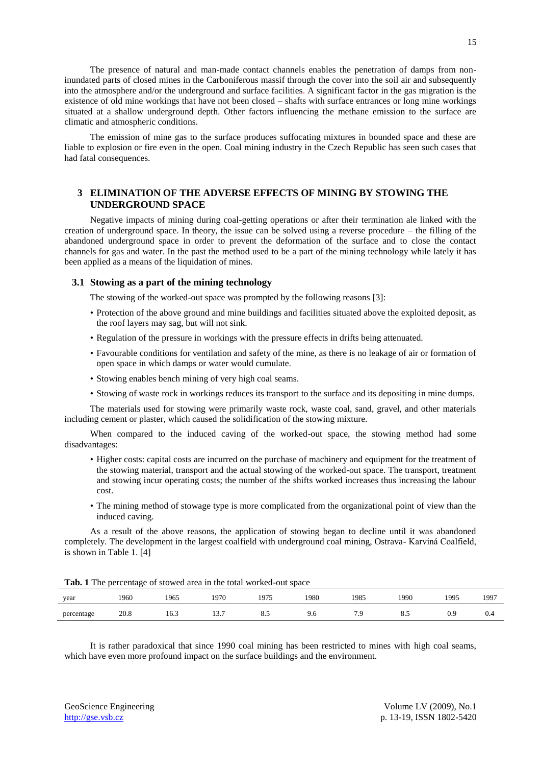The presence of natural and man-made contact channels enables the penetration of damps from noninundated parts of closed mines in the Carboniferous massif through the cover into the soil air and subsequently into the atmosphere and/or the underground and surface facilities. A significant factor in the gas migration is the existence of old mine workings that have not been closed – shafts with surface entrances or long mine workings situated at a shallow underground depth. Other factors influencing the methane emission to the surface are climatic and atmospheric conditions.

The emission of mine gas to the surface produces suffocating mixtures in bounded space and these are liable to explosion or fire even in the open. Coal mining industry in the Czech Republic has seen such cases that had fatal consequences.

## **3 ELIMINATION OF THE ADVERSE EFFECTS OF MINING BY STOWING THE UNDERGROUND SPACE**

Negative impacts of mining during coal-getting operations or after their termination ale linked with the creation of underground space. In theory, the issue can be solved using a reverse procedure – the filling of the abandoned underground space in order to prevent the deformation of the surface and to close the contact channels for gas and water. In the past the method used to be a part of the mining technology while lately it has been applied as a means of the liquidation of mines.

### **3.1 Stowing as a part of the mining technology**

The stowing of the worked-out space was prompted by the following reasons [3]:

- Protection of the above ground and mine buildings and facilities situated above the exploited deposit, as the roof layers may sag, but will not sink.
- Regulation of the pressure in workings with the pressure effects in drifts being attenuated.
- Favourable conditions for ventilation and safety of the mine, as there is no leakage of air or formation of open space in which damps or water would cumulate.
- Stowing enables bench mining of very high coal seams.
- Stowing of waste rock in workings reduces its transport to the surface and its depositing in mine dumps.

The materials used for stowing were primarily waste rock, waste coal, sand, gravel, and other materials including cement or plaster, which caused the solidification of the stowing mixture.

When compared to the induced caving of the worked-out space, the stowing method had some disadvantages:

- Higher costs: capital costs are incurred on the purchase of machinery and equipment for the treatment of the stowing material, transport and the actual stowing of the worked-out space. The transport, treatment and stowing incur operating costs; the number of the shifts worked increases thus increasing the labour cost.
- The mining method of stowage type is more complicated from the organizational point of view than the induced caving.

As a result of the above reasons, the application of stowing began to decline until it was abandoned completely. The development in the largest coalfield with underground coal mining, Ostrava- Karviná Coalfield, is shown in Table 1. [4]

|  |  | Tab. 1 The percentage of stowed area in the total worked-out space |  |  |  |  |  |
|--|--|--------------------------------------------------------------------|--|--|--|--|--|
|--|--|--------------------------------------------------------------------|--|--|--|--|--|

| year                     | 1960 | 1965 | 1970                   | 075<br>1 <i>, 1 ,</i> | 1980 | 1985 | 1990           | 1995 | 1997 |
|--------------------------|------|------|------------------------|-----------------------|------|------|----------------|------|------|
| percentage<br>$\tilde{}$ | 20.8 | 10.3 | $\sim$<br>19.1<br>$ -$ | .,<br>$\circ$ .       | 9.0  | .    | $\mathbf{0}$ . | 0.9  | U.4  |

It is rather paradoxical that since 1990 coal mining has been restricted to mines with high coal seams, which have even more profound impact on the surface buildings and the environment.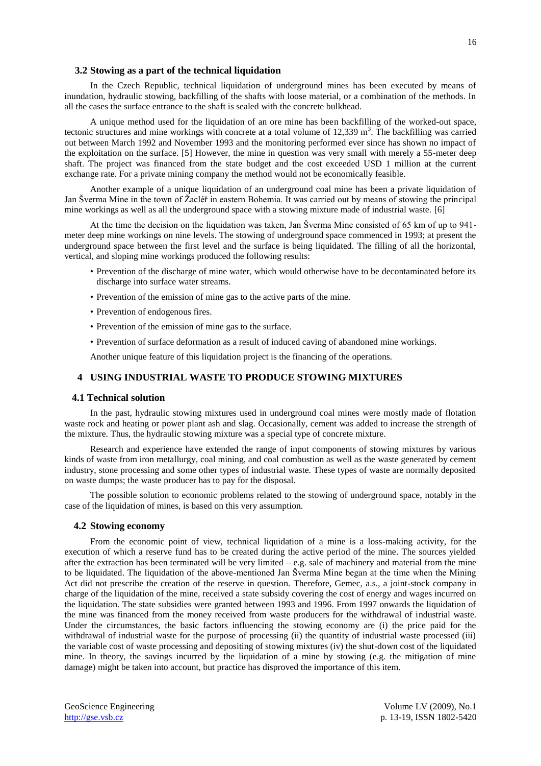### **3.2 Stowing as a part of the technical liquidation**

In the Czech Republic, technical liquidation of underground mines has been executed by means of inundation, hydraulic stowing, backfilling of the shafts with loose material, or a combination of the methods. In all the cases the surface entrance to the shaft is sealed with the concrete bulkhead.

A unique method used for the liquidation of an ore mine has been backfilling of the worked-out space, tectonic structures and mine workings with concrete at a total volume of  $12,339 \text{ m}^3$ . The backfilling was carried out between March 1992 and November 1993 and the monitoring performed ever since has shown no impact of the exploitation on the surface. [5] However, the mine in question was very small with merely a 55-meter deep shaft. The project was financed from the state budget and the cost exceeded USD 1 million at the current exchange rate. For a private mining company the method would not be economically feasible.

Another example of a unique liquidation of an underground coal mine has been a private liquidation of Jan Šverma Mine in the town of Žacléř in eastern Bohemia. It was carried out by means of stowing the principal mine workings as well as all the underground space with a stowing mixture made of industrial waste. [6]

At the time the decision on the liquidation was taken, Jan Šverma Mine consisted of 65 km of up to 941 meter deep mine workings on nine levels. The stowing of underground space commenced in 1993; at present the underground space between the first level and the surface is being liquidated. The filling of all the horizontal, vertical, and sloping mine workings produced the following results:

- Prevention of the discharge of mine water, which would otherwise have to be decontaminated before its discharge into surface water streams.
- Prevention of the emission of mine gas to the active parts of the mine.
- Prevention of endogenous fires.
- Prevention of the emission of mine gas to the surface.
- Prevention of surface deformation as a result of induced caving of abandoned mine workings.

Another unique feature of this liquidation project is the financing of the operations.

## **4 USING INDUSTRIAL WASTE TO PRODUCE STOWING MIXTURES**

#### **4.1 Technical solution**

In the past, hydraulic stowing mixtures used in underground coal mines were mostly made of flotation waste rock and heating or power plant ash and slag. Occasionally, cement was added to increase the strength of the mixture. Thus, the hydraulic stowing mixture was a special type of concrete mixture.

Research and experience have extended the range of input components of stowing mixtures by various kinds of waste from iron metallurgy, coal mining, and coal combustion as well as the waste generated by cement industry, stone processing and some other types of industrial waste. These types of waste are normally deposited on waste dumps; the waste producer has to pay for the disposal.

The possible solution to economic problems related to the stowing of underground space, notably in the case of the liquidation of mines, is based on this very assumption.

#### **4.2 Stowing economy**

From the economic point of view, technical liquidation of a mine is a loss-making activity, for the execution of which a reserve fund has to be created during the active period of the mine. The sources yielded after the extraction has been terminated will be very limited – e.g. sale of machinery and material from the mine to be liquidated. The liquidation of the above-mentioned Jan Šverma Mine began at the time when the Mining Act did not prescribe the creation of the reserve in question. Therefore, Gemec, a.s., a joint-stock company in charge of the liquidation of the mine, received a state subsidy covering the cost of energy and wages incurred on the liquidation. The state subsidies were granted between 1993 and 1996. From 1997 onwards the liquidation of the mine was financed from the money received from waste producers for the withdrawal of industrial waste. Under the circumstances, the basic factors influencing the stowing economy are (i) the price paid for the withdrawal of industrial waste for the purpose of processing (ii) the quantity of industrial waste processed (iii) the variable cost of waste processing and depositing of stowing mixtures (iv) the shut-down cost of the liquidated mine. In theory, the savings incurred by the liquidation of a mine by stowing (e.g. the mitigation of mine damage) might be taken into account, but practice has disproved the importance of this item.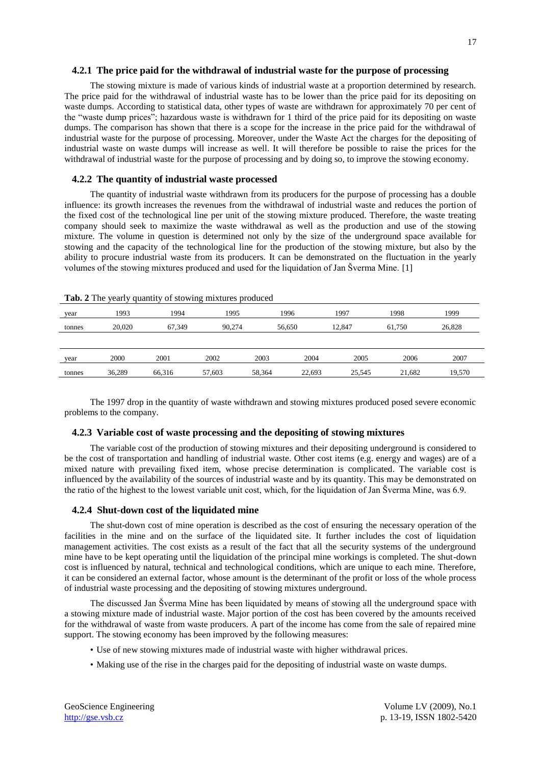#### **4.2.1 The price paid for the withdrawal of industrial waste for the purpose of processing**

The stowing mixture is made of various kinds of industrial waste at a proportion determined by research. The price paid for the withdrawal of industrial waste has to be lower than the price paid for its depositing on waste dumps. According to statistical data, other types of waste are withdrawn for approximately 70 per cent of the "waste dump prices"; hazardous waste is withdrawn for 1 third of the price paid for its depositing on waste dumps. The comparison has shown that there is a scope for the increase in the price paid for the withdrawal of industrial waste for the purpose of processing. Moreover, under the Waste Act the charges for the depositing of industrial waste on waste dumps will increase as well. It will therefore be possible to raise the prices for the withdrawal of industrial waste for the purpose of processing and by doing so, to improve the stowing economy.

#### **4.2.2 The quantity of industrial waste processed**

The quantity of industrial waste withdrawn from its producers for the purpose of processing has a double influence: its growth increases the revenues from the withdrawal of industrial waste and reduces the portion of the fixed cost of the technological line per unit of the stowing mixture produced. Therefore, the waste treating company should seek to maximize the waste withdrawal as well as the production and use of the stowing mixture. The volume in question is determined not only by the size of the underground space available for stowing and the capacity of the technological line for the production of the stowing mixture, but also by the ability to procure industrial waste from its producers. It can be demonstrated on the fluctuation in the yearly volumes of the stowing mixtures produced and used for the liquidation of Jan Šverma Mine. [1]

| year   | 1993   | 1994   | 1995   |        | 1996   | 1997   | 1998   | 1999   |
|--------|--------|--------|--------|--------|--------|--------|--------|--------|
| tonnes | 20,020 | 67,349 | 90,274 | 56,650 |        | 12.847 | 61,750 | 26,828 |
|        |        |        |        |        |        |        |        |        |
| year   | 2000   | 2001   | 2002   | 2003   | 2004   | 2005   | 2006   | 2007   |
| tonnes | 36,289 | 66,316 | 57,603 | 58,364 | 22,693 | 25,545 | 21,682 | 19,570 |

**Tab. 2** The yearly quantity of stowing mixtures produced

The 1997 drop in the quantity of waste withdrawn and stowing mixtures produced posed severe economic problems to the company.

## **4.2.3 Variable cost of waste processing and the depositing of stowing mixtures**

The variable cost of the production of stowing mixtures and their depositing underground is considered to be the cost of transportation and handling of industrial waste. Other cost items (e.g. energy and wages) are of a mixed nature with prevailing fixed item, whose precise determination is complicated. The variable cost is influenced by the availability of the sources of industrial waste and by its quantity. This may be demonstrated on the ratio of the highest to the lowest variable unit cost, which, for the liquidation of Jan Šverma Mine, was 6.9.

#### **4.2.4 Shut-down cost of the liquidated mine**

The shut-down cost of mine operation is described as the cost of ensuring the necessary operation of the facilities in the mine and on the surface of the liquidated site. It further includes the cost of liquidation management activities. The cost exists as a result of the fact that all the security systems of the underground mine have to be kept operating until the liquidation of the principal mine workings is completed. The shut-down cost is influenced by natural, technical and technological conditions, which are unique to each mine. Therefore, it can be considered an external factor, whose amount is the determinant of the profit or loss of the whole process of industrial waste processing and the depositing of stowing mixtures underground.

The discussed Jan Šverma Mine has been liquidated by means of stowing all the underground space with a stowing mixture made of industrial waste. Major portion of the cost has been covered by the amounts received for the withdrawal of waste from waste producers. A part of the income has come from the sale of repaired mine support. The stowing economy has been improved by the following measures:

- Use of new stowing mixtures made of industrial waste with higher withdrawal prices.
- Making use of the rise in the charges paid for the depositing of industrial waste on waste dumps.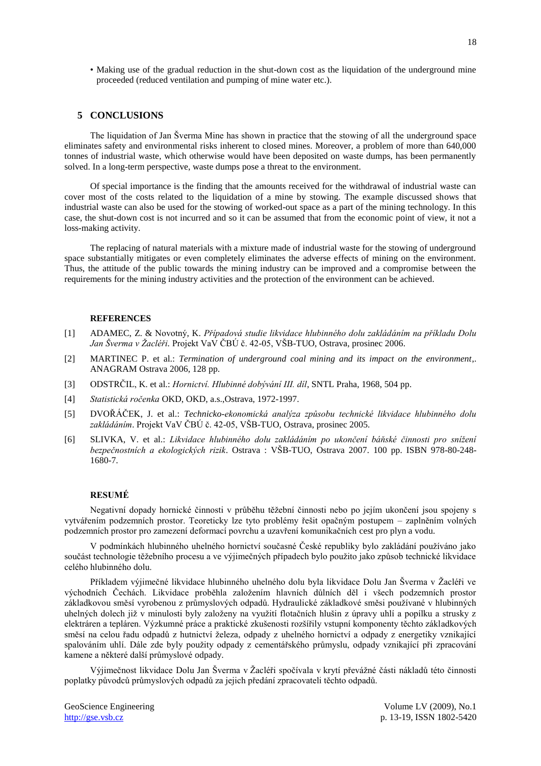• Making use of the gradual reduction in the shut-down cost as the liquidation of the underground mine proceeded (reduced ventilation and pumping of mine water etc.).

## **5 CONCLUSIONS**

The liquidation of Jan Šverma Mine has shown in practice that the stowing of all the underground space eliminates safety and environmental risks inherent to closed mines. Moreover, a problem of more than 640,000 tonnes of industrial waste, which otherwise would have been deposited on waste dumps, has been permanently solved. In a long-term perspective, waste dumps pose a threat to the environment.

Of special importance is the finding that the amounts received for the withdrawal of industrial waste can cover most of the costs related to the liquidation of a mine by stowing. The example discussed shows that industrial waste can also be used for the stowing of worked-out space as a part of the mining technology. In this case, the shut-down cost is not incurred and so it can be assumed that from the economic point of view, it not a loss-making activity.

The replacing of natural materials with a mixture made of industrial waste for the stowing of underground space substantially mitigates or even completely eliminates the adverse effects of mining on the environment. Thus, the attitude of the public towards the mining industry can be improved and a compromise between the requirements for the mining industry activities and the protection of the environment can be achieved.

#### **REFERENCES**

- [1] ADAMEC, Z. & Novotný, K. *Případová studie likvidace hlubinného dolu zakládáním na příkladu Dolu Jan Šverma v Žacléři.* Projekt VaV ČBÚ č. 42-05, VŠB-TUO, Ostrava, prosinec 2006.
- [2] MARTINEC P. et al.: *Termination of underground coal mining and its impact on the environment*,. ANAGRAM Ostrava 2006, 128 pp.
- [3] ODSTRČIL, K. et al.: *Hornictví. Hlubinné dobývání III. díl*, SNTL Praha, 1968, 504 pp.
- [4] *Statistická ročenka* OKD, OKD, a.s.,Ostrava, 1972-1997.
- [5] DVOŘÁČEK, J. et al.: *Technicko-ekonomická analýza způsobu technické likvidace hlubinného dolu zakládáním*. Projekt VaV ČBÚ č. 42-05, VŠB-TUO, Ostrava, prosinec 2005.
- [6] SLIVKA, V. et al.: *Likvidace hlubinného dolu zakládáním po ukončení báňské činnosti pro snížení bezpečnostních a ekologických rizik*. Ostrava : VŠB-TUO, Ostrava 2007. 100 pp. ISBN 978-80-248- 1680-7.

## **RESUMÉ**

Negativní dopady hornické činnosti v průběhu těžební činnosti nebo po jejím ukončení jsou spojeny s vytvářením podzemních prostor. Teoreticky lze tyto problémy řešit opačným postupem – zaplněním volných podzemních prostor pro zamezení deformací povrchu a uzavření komunikačních cest pro plyn a vodu.

V podmínkách hlubinného uhelného hornictví současné České republiky bylo zakládání používáno jako součást technologie těžebního procesu a ve výjimečných případech bylo použito jako způsob technické likvidace celého hlubinného dolu.

Příkladem výjimečné likvidace hlubinného uhelného dolu byla likvidace Dolu Jan Šverma v Žacléři ve východních Čechách. Likvidace proběhla založením hlavních důlních děl i všech podzemních prostor základkovou směsí vyrobenou z průmyslových odpadů. Hydraulické základkové směsi používané v hlubinných uhelných dolech již v minulosti byly založeny na využití flotačních hlušin z úpravy uhlí a popílku a strusky z elektráren a tepláren. Výzkumné práce a praktické zkušenosti rozšířily vstupní komponenty těchto základkových směsí na celou řadu odpadů z hutnictví železa, odpady z uhelného hornictví a odpady z energetiky vznikající spalováním uhlí. Dále zde byly použity odpady z cementářského průmyslu, odpady vznikající při zpracování kamene a některé další průmyslové odpady.

Výjimečnost likvidace Dolu Jan Šverma v Žacléři spočívala v krytí převážné části nákladů této činnosti poplatky původců průmyslových odpadů za jejich předání zpracovateli těchto odpadů.